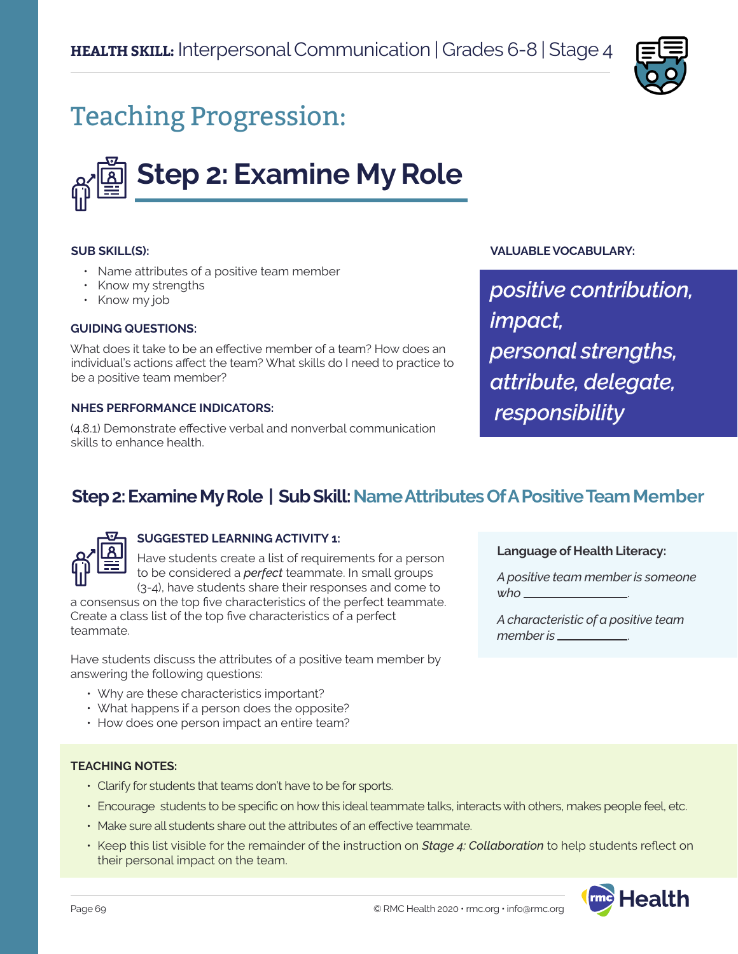

# Teaching Progression:



#### **SUB SKILL(S):**

- Name attributes of a positive team member
- Know my strengths
- Know my job

#### **GUIDING QUESTIONS:**

What does it take to be an effective member of a team? How does an individual's actions affect the team? What skills do I need to practice to be a positive team member?

#### **NHES PERFORMANCE INDICATORS:**

(4.8.1) Demonstrate effective verbal and nonverbal communication skills to enhance health.

#### **VALUABLE VOCABULARY:**

*positive contribution, impact, personal strengths, attribute, delegate, responsibility*

## **Step 2: Examine My Role | Sub Skill: Name Attributes Of A Positive Team Member**



### **SUGGESTED LEARNING ACTIVITY 1:**

Have students create a list of requirements for a person to be considered a *perfect* teammate. In small groups

(3-4), have students share their responses and come to a consensus on the top five characteristics of the perfect teammate. Create a class list of the top five characteristics of a perfect teammate.

Have students discuss the attributes of a positive team member by answering the following questions:

- Why are these characteristics important?
- What happens if a person does the opposite?
- How does one person impact an entire team?

**Language of Health Literacy:**

*A positive team member is someone who* .

*A characteristic of a positive team*  member is \_\_\_\_\_\_\_\_

#### **TEACHING NOTES:**

- Clarify for students that teams don't have to be for sports.
- Encourage students to be specific on how this ideal teammate talks, interacts with others, makes people feel, etc.
- Make sure all students share out the attributes of an effective teammate.
- Keep this list visible for the remainder of the instruction on *Stage 4: Collaboration* to help students reflect on their personal impact on the team.

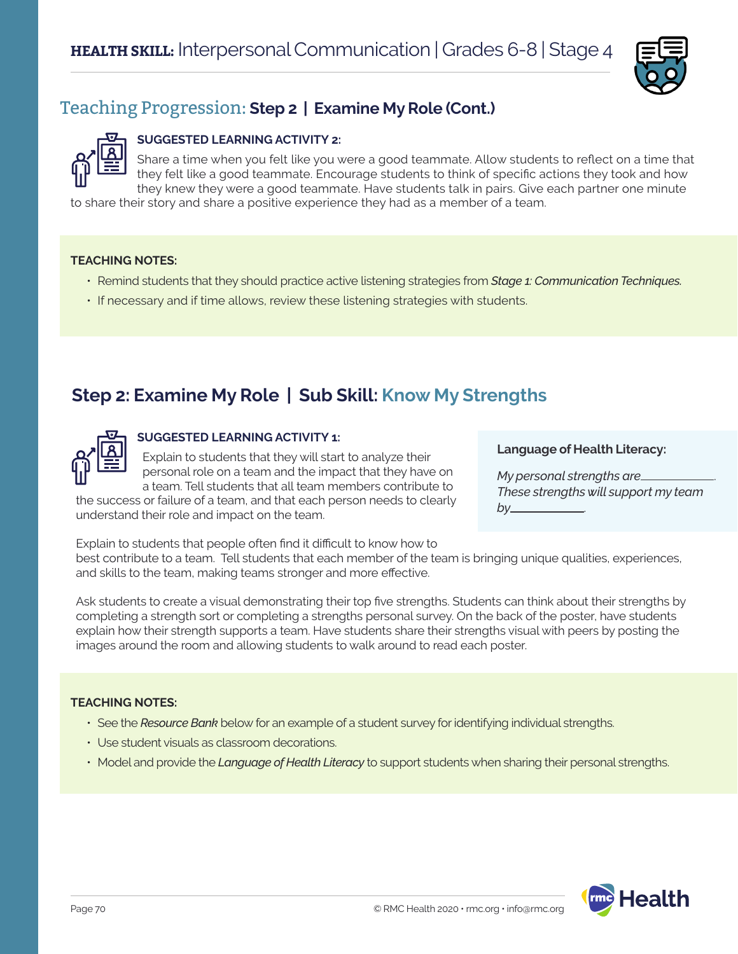

# Teaching Progression: **Step 2 | Examine My Role (Cont.)**

### **SUGGESTED LEARNING ACTIVITY 2:**

Share a time when you felt like you were a good teammate. Allow students to reflect on a time that they felt like a good teammate. Encourage students to think of specific actions they took and how they knew they were a good teammate. Have students talk in pairs. Give each partner one minute

to share their story and share a positive experience they had as a member of a team.

#### **TEACHING NOTES:**

- Remind students that they should practice active listening strategies from *Stage 1: Communication Techniques.*
- If necessary and if time allows, review these listening strategies with students.

# **Step 2: Examine My Role | Sub Skill: Know My Strengths**



### **SUGGESTED LEARNING ACTIVITY 1:**

Explain to students that they will start to analyze their personal role on a team and the impact that they have on a team. Tell students that all team members contribute to

the success or failure of a team, and that each person needs to clearly understand their role and impact on the team.

#### Explain to students that people often find it difficult to know how to best contribute to a team. Tell students that each member of the team is bringing unique qualities, experiences, and skills to the team, making teams stronger and more effective.

Ask students to create a visual demonstrating their top five strengths. Students can think about their strengths by completing a strength sort or completing a strengths personal survey. On the back of the poster, have students explain how their strength supports a team. Have students share their strengths visual with peers by posting the images around the room and allowing students to walk around to read each poster.

### **TEACHING NOTES:**

- See the *Resource Bank* below for an example of a student survey for identifying individual strengths.
- Use student visuals as classroom decorations.
- Model and provide the *Language of Health Literacy* to support students when sharing their personal strengths.





*My personal strengths are*\_ *These strengths will support my team by* .